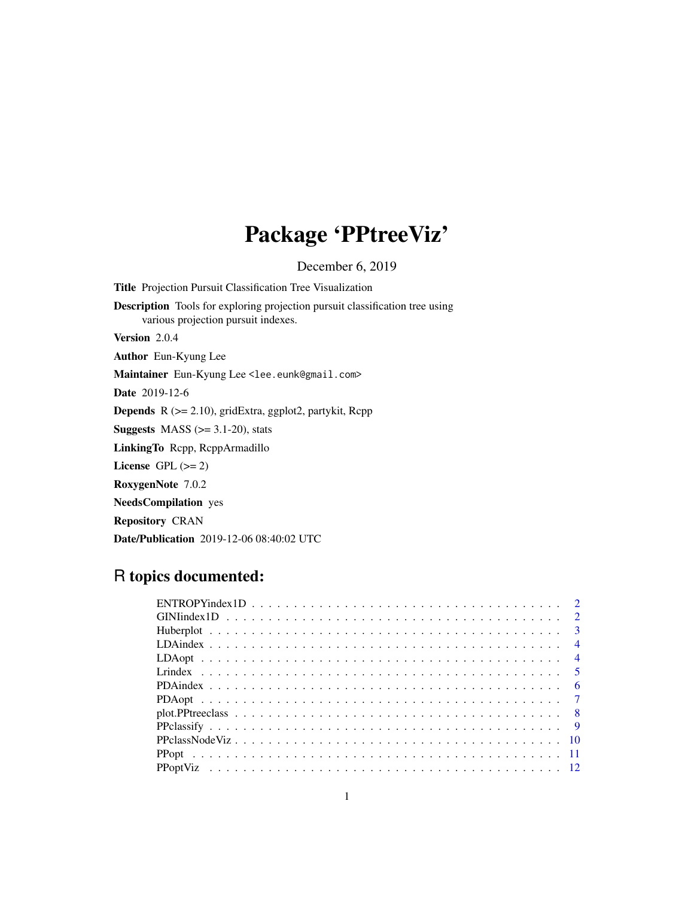# Package 'PPtreeViz'

December 6, 2019

Title Projection Pursuit Classification Tree Visualization Description Tools for exploring projection pursuit classification tree using various projection pursuit indexes. Version 2.0.4 Author Eun-Kyung Lee Maintainer Eun-Kyung Lee <lee.eunk@gmail.com> Date 2019-12-6 Depends R (>= 2.10), gridExtra, ggplot2, partykit, Rcpp **Suggests** MASS  $(>= 3.1-20)$ , stats LinkingTo Rcpp, RcppArmadillo License GPL  $(>= 2)$ RoxygenNote 7.0.2

NeedsCompilation yes

Repository CRAN

Date/Publication 2019-12-06 08:40:02 UTC

# R topics documented: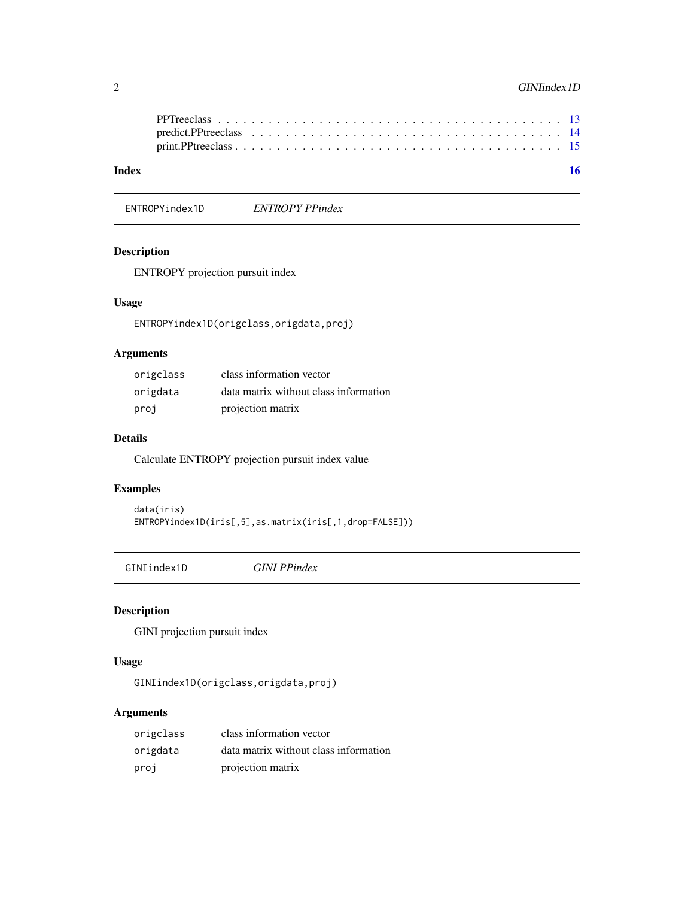# <span id="page-1-0"></span>2 GINIindex 1D

ENTROPYindex1D *ENTROPY PPindex*

# Description

ENTROPY projection pursuit index

# Usage

ENTROPYindex1D(origclass,origdata,proj)

# Arguments

| origclass | class information vector              |
|-----------|---------------------------------------|
| origdata  | data matrix without class information |
| proj      | projection matrix                     |

# Details

Calculate ENTROPY projection pursuit index value

# Examples

```
data(iris)
ENTROPYindex1D(iris[,5],as.matrix(iris[,1,drop=FALSE]))
```
GINIindex1D *GINI PPindex*

# Description

GINI projection pursuit index

# Usage

GINIindex1D(origclass,origdata,proj)

# Arguments

| origclass | class information vector              |
|-----------|---------------------------------------|
| origdata  | data matrix without class information |
| proj      | projection matrix                     |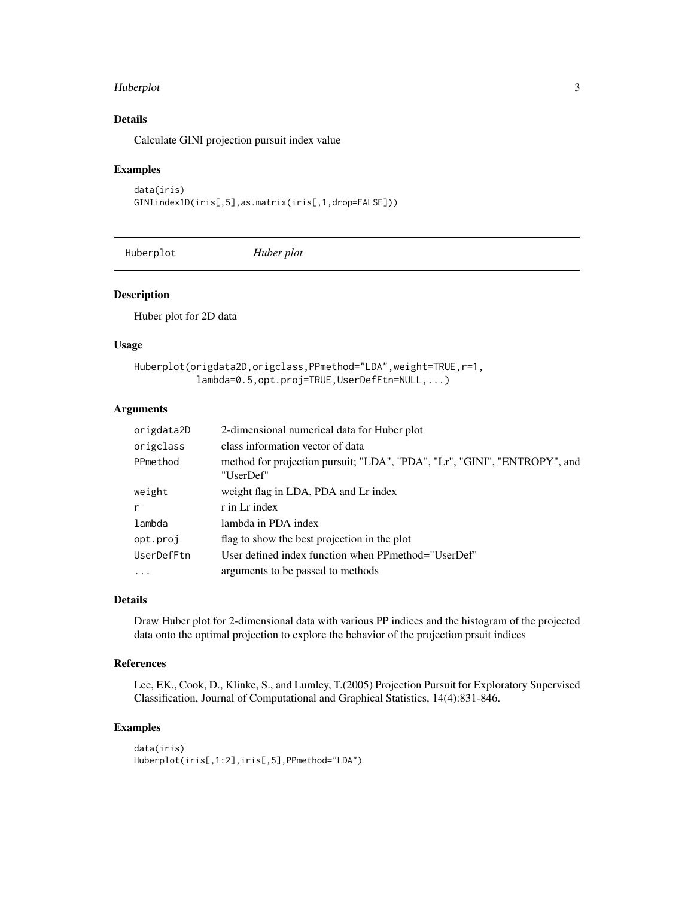#### <span id="page-2-0"></span>Huberplot 3

# Details

Calculate GINI projection pursuit index value

#### Examples

```
data(iris)
GINIindex1D(iris[,5],as.matrix(iris[,1,drop=FALSE]))
```
Huberplot *Huber plot*

# Description

Huber plot for 2D data

### Usage

```
Huberplot(origdata2D,origclass,PPmethod="LDA",weight=TRUE,r=1,
           lambda=0.5,opt.proj=TRUE,UserDefFtn=NULL,...)
```
#### Arguments

| origdata2D | 2-dimensional numerical data for Huber plot                                            |
|------------|----------------------------------------------------------------------------------------|
| origclass  | class information vector of data                                                       |
| PPmethod   | method for projection pursuit; "LDA", "PDA", "Lr", "GINI", "ENTROPY", and<br>"UserDef" |
| weight     | weight flag in LDA, PDA and Lr index                                                   |
| r          | r in Lr index                                                                          |
| lambda     | lambda in PDA index                                                                    |
| opt.proj   | flag to show the best projection in the plot                                           |
| UserDefFtn | User defined index function when PPmethod="UserDef"                                    |
| $\cdot$    | arguments to be passed to methods                                                      |

## Details

Draw Huber plot for 2-dimensional data with various PP indices and the histogram of the projected data onto the optimal projection to explore the behavior of the projection prsuit indices

#### References

Lee, EK., Cook, D., Klinke, S., and Lumley, T.(2005) Projection Pursuit for Exploratory Supervised Classification, Journal of Computational and Graphical Statistics, 14(4):831-846.

```
data(iris)
Huberplot(iris[,1:2],iris[,5],PPmethod="LDA")
```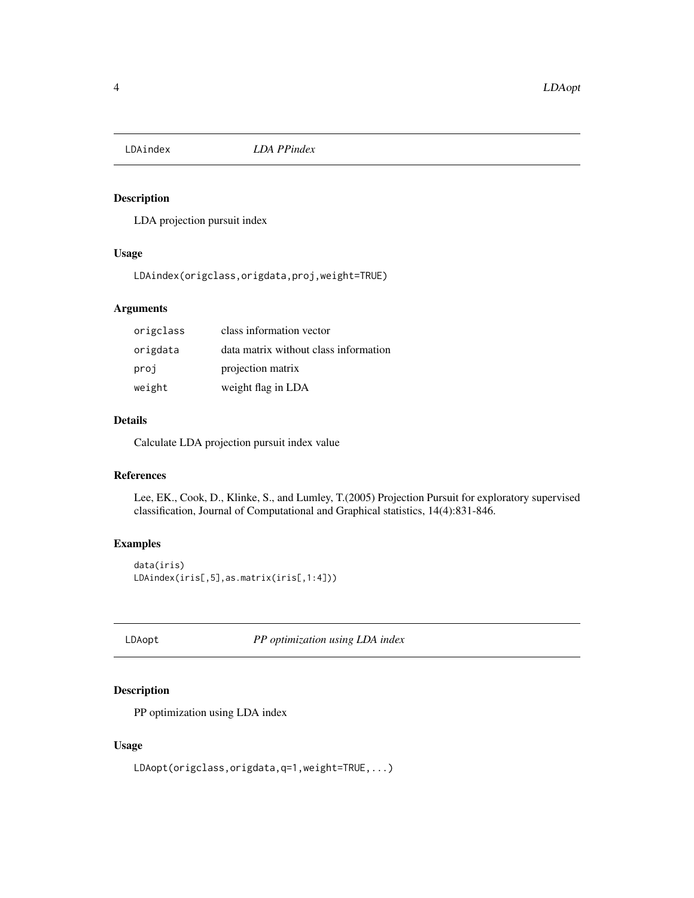<span id="page-3-0"></span>

# Description

LDA projection pursuit index

### Usage

LDAindex(origclass,origdata,proj,weight=TRUE)

# Arguments

| origclass | class information vector              |
|-----------|---------------------------------------|
| origdata  | data matrix without class information |
| proj      | projection matrix                     |
| weight    | weight flag in LDA                    |

#### Details

Calculate LDA projection pursuit index value

# References

Lee, EK., Cook, D., Klinke, S., and Lumley, T.(2005) Projection Pursuit for exploratory supervised classification, Journal of Computational and Graphical statistics, 14(4):831-846.

## Examples

```
data(iris)
LDAindex(iris[,5],as.matrix(iris[,1:4]))
```
LDAopt *PP optimization using LDA index*

# Description

PP optimization using LDA index

#### Usage

LDAopt(origclass,origdata,q=1,weight=TRUE,...)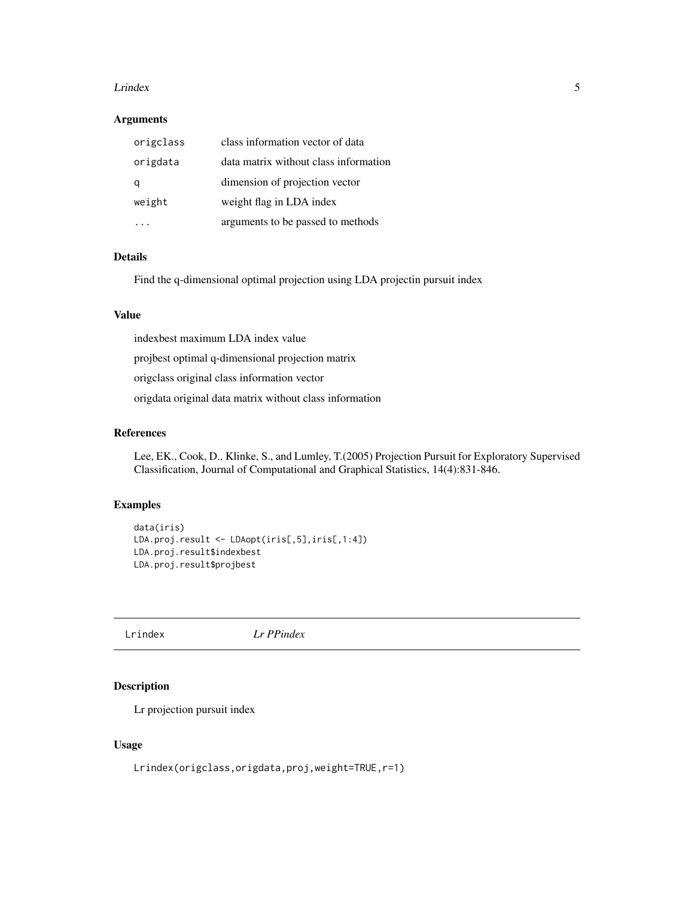#### <span id="page-4-0"></span>Let the set of the set of the set of the set of the set of the set of the set of the set of the set of the set of the set of the set of the set of the set of the set of the set of the set of the set of the set of the set o

#### Arguments

| origclass | class information vector of data      |
|-----------|---------------------------------------|
| origdata  | data matrix without class information |
|           | dimension of projection vector        |
| weight    | weight flag in LDA index              |
|           | arguments to be passed to methods     |

# Details

Find the q-dimensional optimal projection using LDA projectin pursuit index

#### Value

indexbest maximum LDA index value

projbest optimal q-dimensional projection matrix

origclass original class information vector

origdata original data matrix without class information

#### References

Lee, EK., Cook, D., Klinke, S., and Lumley, T.(2005) Projection Pursuit for Exploratory Supervised Classification, Journal of Computational and Graphical Statistics, 14(4):831-846.

# Examples

```
data(iris)
LDA.proj.result <- LDAopt(iris[,5],iris[,1:4])
LDA.proj.result$indexbest
LDA.proj.result$projbest
```
Lrindex *Lr PPindex*

# Description

Lr projection pursuit index

#### Usage

Lrindex(origclass,origdata,proj,weight=TRUE,r=1)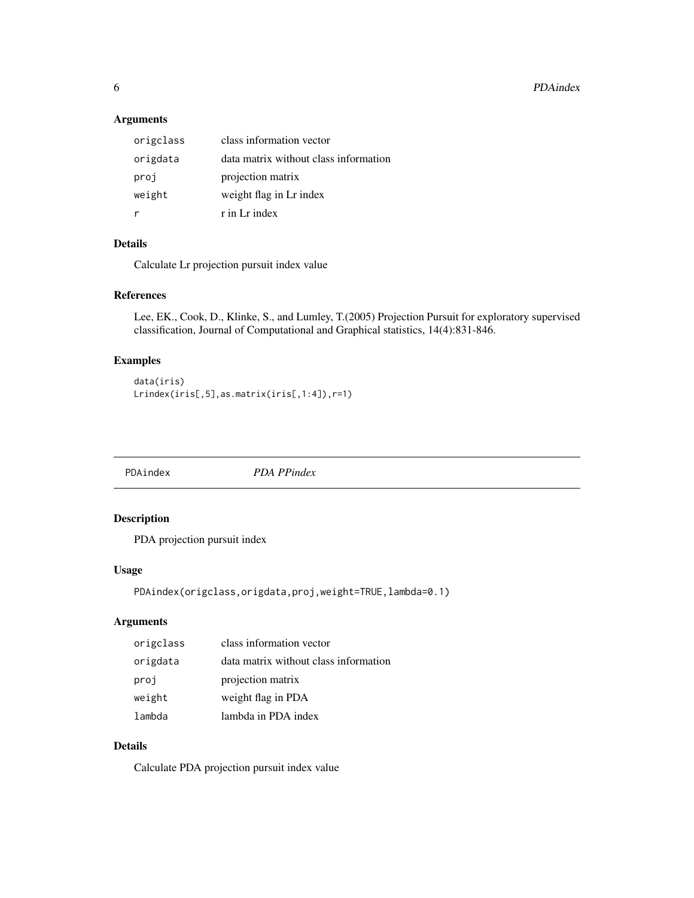# Arguments

| origclass | class information vector              |
|-----------|---------------------------------------|
| origdata  | data matrix without class information |
| proj      | projection matrix                     |
| weight    | weight flag in Lr index               |
|           | $r$ in L $r$ index                    |

# Details

Calculate Lr projection pursuit index value

# References

Lee, EK., Cook, D., Klinke, S., and Lumley, T.(2005) Projection Pursuit for exploratory supervised classification, Journal of Computational and Graphical statistics, 14(4):831-846.

# Examples

```
data(iris)
Lrindex(iris[,5],as.matrix(iris[,1:4]),r=1)
```
PDAindex *PDA PPindex*

# Description

PDA projection pursuit index

#### Usage

```
PDAindex(origclass,origdata,proj,weight=TRUE,lambda=0.1)
```
#### Arguments

| origclass | class information vector              |
|-----------|---------------------------------------|
| origdata  | data matrix without class information |
| proj      | projection matrix                     |
| weight    | weight flag in PDA                    |
| lambda    | lambda in PDA index                   |

# Details

Calculate PDA projection pursuit index value

<span id="page-5-0"></span>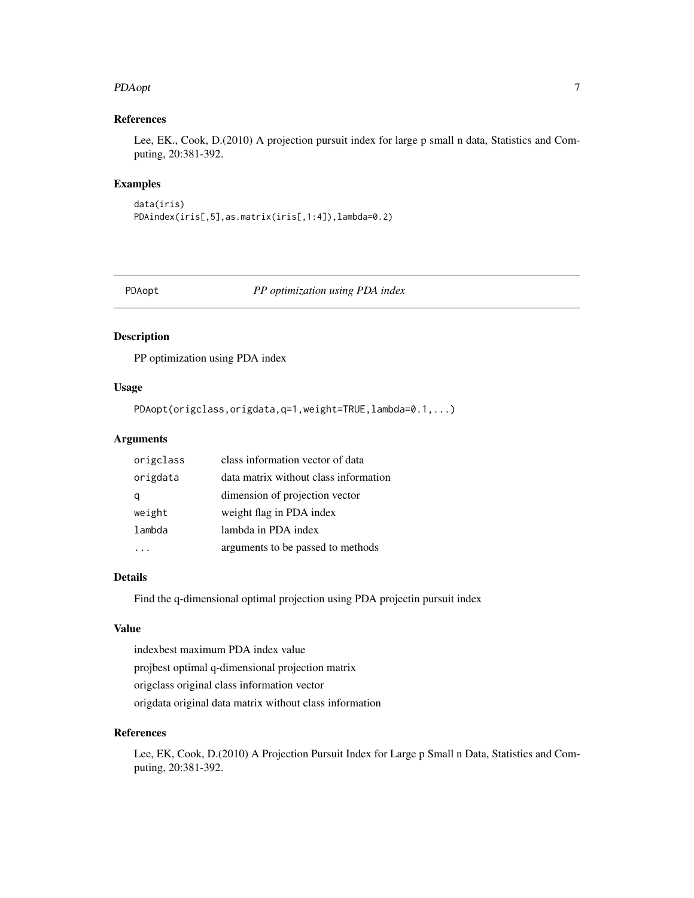#### <span id="page-6-0"></span>PDAopt 7 and 7 and 7 and 7 and 7 and 7 and 7 and 7 and 7 and 7 and 7 and 7 and 7 and 7 and 7 and 7 and 7 and 7 and 7 and 7 and 7 and 7 and 7 and 7 and 7 and 7 and 7 and 7 and 7 and 7 and 7 and 7 and 7 and 7 and 7 and 7 and

# References

Lee, EK., Cook, D.(2010) A projection pursuit index for large p small n data, Statistics and Computing, 20:381-392.

# Examples

```
data(iris)
PDAindex(iris[,5],as.matrix(iris[,1:4]),lambda=0.2)
```
PDAopt *PP optimization using PDA index*

# Description

PP optimization using PDA index

# Usage

PDAopt(origclass,origdata,q=1,weight=TRUE,lambda=0.1,...)

## Arguments

| origclass | class information vector of data      |
|-----------|---------------------------------------|
| origdata  | data matrix without class information |
|           | dimension of projection vector        |
| weight    | weight flag in PDA index              |
| lambda    | lambda in PDA index                   |
|           | arguments to be passed to methods     |

#### Details

Find the q-dimensional optimal projection using PDA projectin pursuit index

#### Value

indexbest maximum PDA index value projbest optimal q-dimensional projection matrix origclass original class information vector origdata original data matrix without class information

#### References

Lee, EK, Cook, D.(2010) A Projection Pursuit Index for Large p Small n Data, Statistics and Computing, 20:381-392.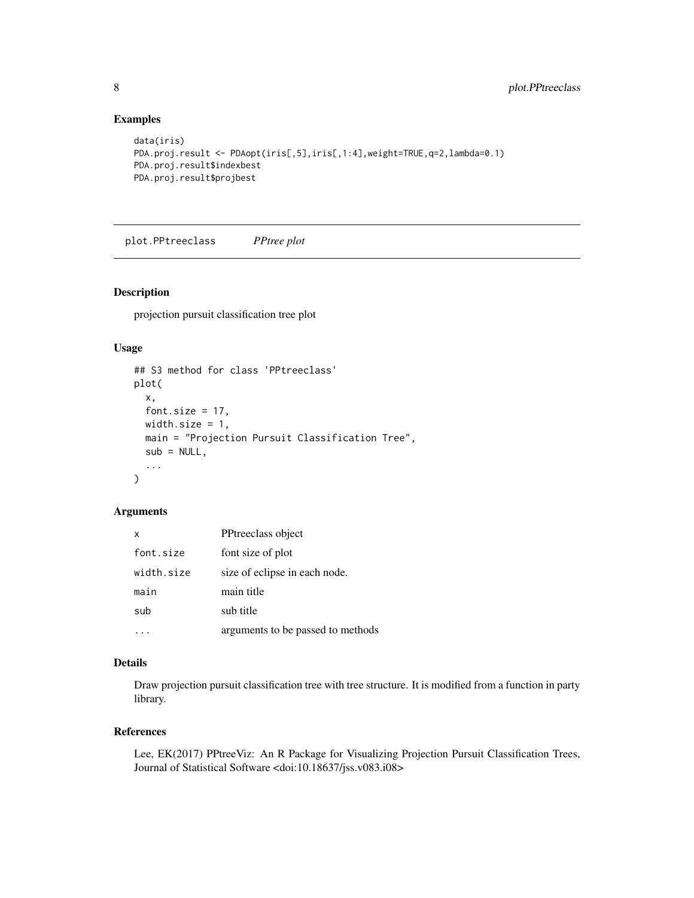# Examples

```
data(iris)
PDA.proj.result <- PDAopt(iris[,5],iris[,1:4],weight=TRUE,q=2,lambda=0.1)
PDA.proj.result$indexbest
PDA.proj.result$projbest
```
plot.PPtreeclass *PPtree plot*

# Description

projection pursuit classification tree plot

#### Usage

```
## S3 method for class 'PPtreeclass'
plot(
  x,
 font.size = 17,
 width.size = 1,
 main = "Projection Pursuit Classification Tree",
  sub = NULL,...
)
```
#### Arguments

| x          | PPtreeclass object                |
|------------|-----------------------------------|
| font.size  | font size of plot                 |
| width.size | size of eclipse in each node.     |
| main       | main title                        |
| sub        | sub title                         |
|            | arguments to be passed to methods |

# Details

Draw projection pursuit classification tree with tree structure. It is modified from a function in party library.

#### References

Lee, EK(2017) PPtreeViz: An R Package for Visualizing Projection Pursuit Classification Trees, Journal of Statistical Software <doi:10.18637/jss.v083.i08>

<span id="page-7-0"></span>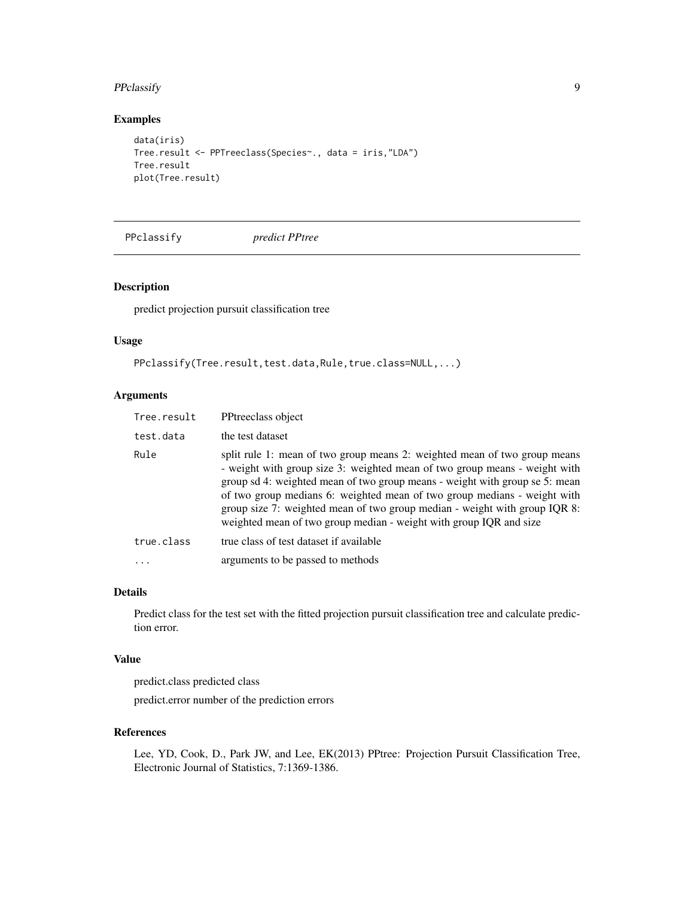# <span id="page-8-0"></span>PPclassify 9

# Examples

```
data(iris)
Tree.result <- PPTreeclass(Species~., data = iris,"LDA")
Tree.result
plot(Tree.result)
```
PPclassify *predict PPtree*

#### Description

predict projection pursuit classification tree

#### Usage

```
PPclassify(Tree.result,test.data,Rule,true.class=NULL,...)
```
# Arguments

| Tree.result | PPtreeclass object                                                                                                                                                                                                                                                                                                                                                                                                                                                     |
|-------------|------------------------------------------------------------------------------------------------------------------------------------------------------------------------------------------------------------------------------------------------------------------------------------------------------------------------------------------------------------------------------------------------------------------------------------------------------------------------|
| test.data   | the test dataset                                                                                                                                                                                                                                                                                                                                                                                                                                                       |
| Rule        | split rule 1: mean of two group means 2: weighted mean of two group means<br>- weight with group size 3: weighted mean of two group means - weight with<br>group sd 4: weighted mean of two group means - weight with group se 5: mean<br>of two group medians 6: weighted mean of two group medians - weight with<br>group size 7: weighted mean of two group median - weight with group IQR 8:<br>weighted mean of two group median - weight with group IQR and size |
| true.class  | true class of test dataset if available                                                                                                                                                                                                                                                                                                                                                                                                                                |
|             | arguments to be passed to methods                                                                                                                                                                                                                                                                                                                                                                                                                                      |

#### Details

Predict class for the test set with the fitted projection pursuit classification tree and calculate prediction error.

#### Value

predict.class predicted class predict.error number of the prediction errors

# References

Lee, YD, Cook, D., Park JW, and Lee, EK(2013) PPtree: Projection Pursuit Classification Tree, Electronic Journal of Statistics, 7:1369-1386.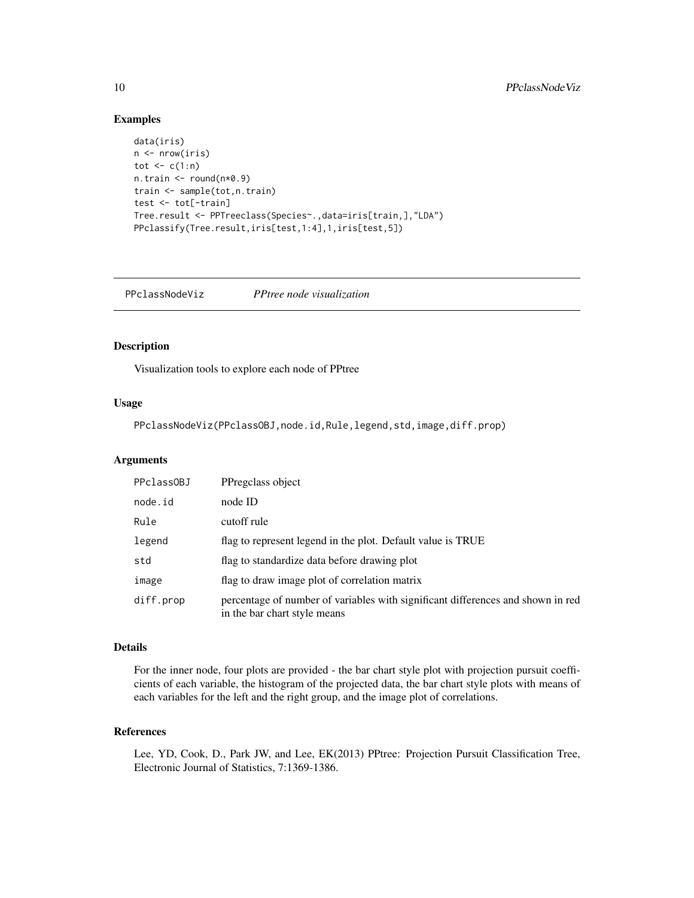#### Examples

```
data(iris)
n <- nrow(iris)
tot \leftarrow c(1:n)n.train <- round(n*0.9)
train <- sample(tot,n.train)
test <- tot[-train]
Tree.result <- PPTreeclass(Species~.,data=iris[train,],"LDA")
PPclassify(Tree.result,iris[test,1:4],1,iris[test,5])
```
PPclassNodeViz *PPtree node visualization*

# Description

Visualization tools to explore each node of PPtree

#### Usage

PPclassNodeViz(PPclassOBJ,node.id,Rule,legend,std,image,diff.prop)

#### Arguments

| PPclassOBJ | PPregclass object                                                                                               |
|------------|-----------------------------------------------------------------------------------------------------------------|
| node.id    | node ID                                                                                                         |
| Rule       | cutoff rule                                                                                                     |
| legend     | flag to represent legend in the plot. Default value is TRUE                                                     |
| std        | flag to standardize data before drawing plot                                                                    |
| image      | flag to draw image plot of correlation matrix                                                                   |
| diff.prop  | percentage of number of variables with significant differences and shown in red<br>in the bar chart style means |

#### Details

For the inner node, four plots are provided - the bar chart style plot with projection pursuit coefficients of each variable, the histogram of the projected data, the bar chart style plots with means of each variables for the left and the right group, and the image plot of correlations.

#### References

Lee, YD, Cook, D., Park JW, and Lee, EK(2013) PPtree: Projection Pursuit Classification Tree, Electronic Journal of Statistics, 7:1369-1386.

<span id="page-9-0"></span>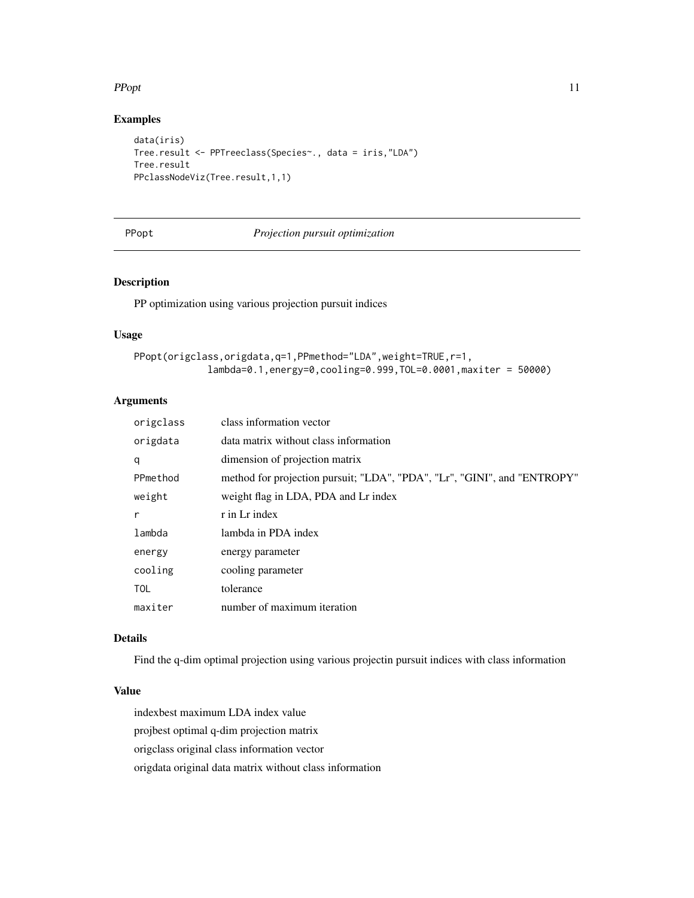#### <span id="page-10-0"></span> $P$ Popt  $\qquad 11$

# Examples

```
data(iris)
Tree.result <- PPTreeclass(Species~., data = iris,"LDA")
Tree.result
PPclassNodeViz(Tree.result,1,1)
```
#### PPopt *Projection pursuit optimization*

# Description

PP optimization using various projection pursuit indices

#### Usage

```
PPopt(origclass,origdata,q=1,PPmethod="LDA",weight=TRUE,r=1,
             lambda=0.1,energy=0,cooling=0.999,TOL=0.0001,maxiter = 50000)
```
#### Arguments

| origclass  | class information vector                                                 |
|------------|--------------------------------------------------------------------------|
| origdata   | data matrix without class information                                    |
| q          | dimension of projection matrix                                           |
| PPmethod   | method for projection pursuit; "LDA", "PDA", "Lr", "GINI", and "ENTROPY" |
| weight     | weight flag in LDA, PDA and Lr index                                     |
| r          | r in Lr index                                                            |
| lambda     | lambda in PDA index                                                      |
| energy     | energy parameter                                                         |
| cooling    | cooling parameter                                                        |
| <b>TOL</b> | tolerance                                                                |
| maxiter    | number of maximum iteration                                              |

#### Details

Find the q-dim optimal projection using various projectin pursuit indices with class information

#### Value

indexbest maximum LDA index value projbest optimal q-dim projection matrix origclass original class information vector origdata original data matrix without class information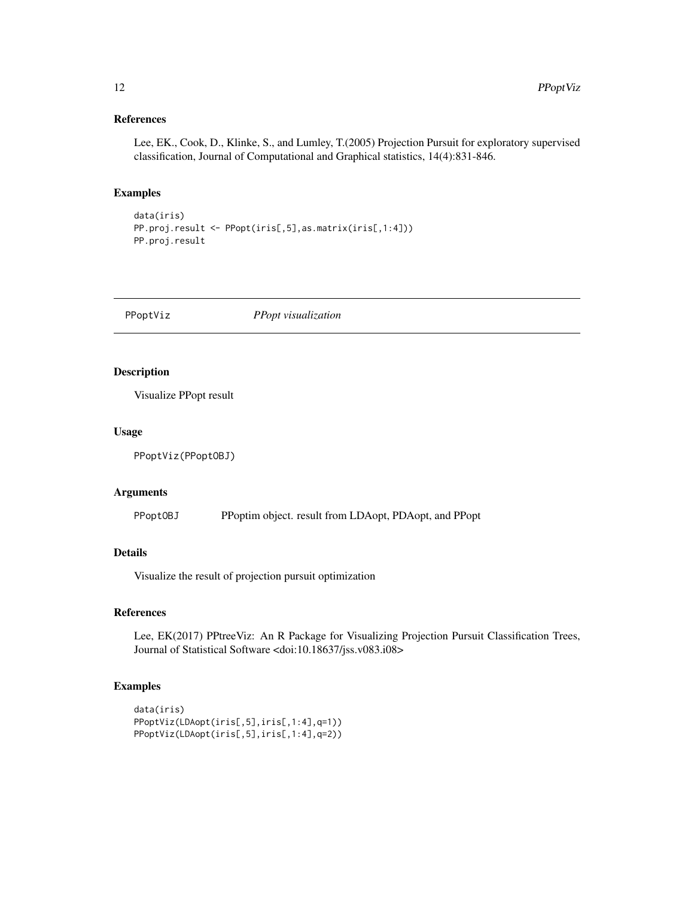# <span id="page-11-0"></span>References

Lee, EK., Cook, D., Klinke, S., and Lumley, T.(2005) Projection Pursuit for exploratory supervised classification, Journal of Computational and Graphical statistics, 14(4):831-846.

# Examples

```
data(iris)
PP.proj.result <- PPopt(iris[,5],as.matrix(iris[,1:4]))
PP.proj.result
```
PPoptViz *PPopt visualization*

#### Description

Visualize PPopt result

#### Usage

PPoptViz(PPoptOBJ)

# Arguments

PPoptOBJ PPoptim object. result from LDAopt, PDAopt, and PPopt

# Details

Visualize the result of projection pursuit optimization

### References

Lee, EK(2017) PPtreeViz: An R Package for Visualizing Projection Pursuit Classification Trees, Journal of Statistical Software <doi:10.18637/jss.v083.i08>

```
data(iris)
PPoptViz(LDAopt(iris[,5],iris[,1:4],q=1))
PPoptViz(LDAopt(iris[,5],iris[,1:4],q=2))
```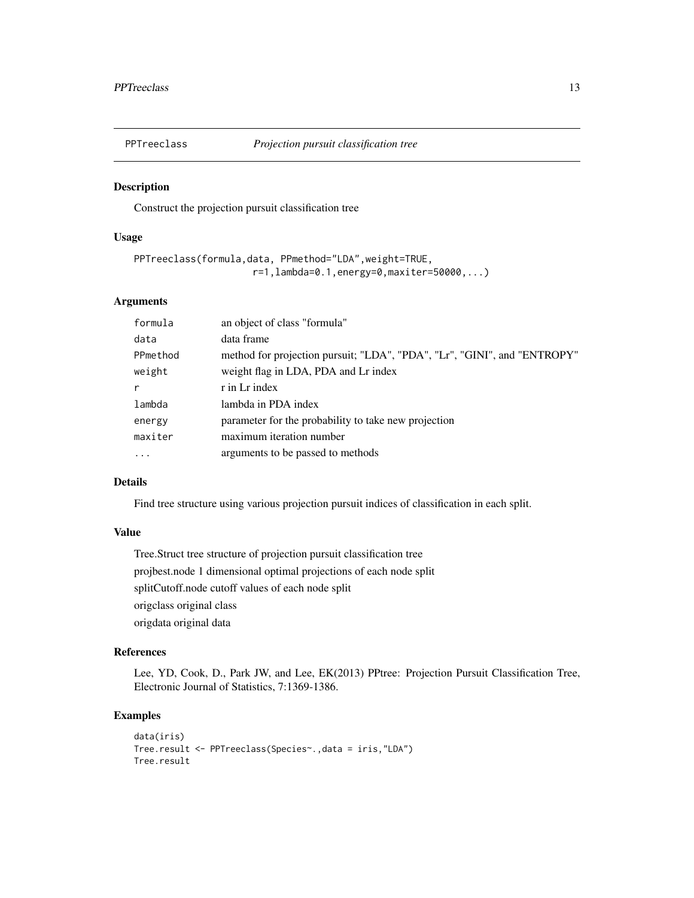<span id="page-12-0"></span>

### Description

Construct the projection pursuit classification tree

# Usage

```
PPTreeclass(formula,data, PPmethod="LDA",weight=TRUE,
                     r=1,lambda=0.1,energy=0,maxiter=50000,...)
```
# Arguments

| formula  | an object of class "formula"                                             |
|----------|--------------------------------------------------------------------------|
| data     | data frame                                                               |
| PPmethod | method for projection pursuit; "LDA", "PDA", "Lr", "GINI", and "ENTROPY" |
| weight   | weight flag in LDA, PDA and Lr index                                     |
| r        | r in Lr index                                                            |
| lambda   | lambda in PDA index                                                      |
| energy   | parameter for the probability to take new projection                     |
| maxiter  | maximum iteration number                                                 |
| $\cdots$ | arguments to be passed to methods                                        |

# Details

Find tree structure using various projection pursuit indices of classification in each split.

# Value

Tree.Struct tree structure of projection pursuit classification tree projbest.node 1 dimensional optimal projections of each node split splitCutoff.node cutoff values of each node split origclass original class origdata original data

#### References

Lee, YD, Cook, D., Park JW, and Lee, EK(2013) PPtree: Projection Pursuit Classification Tree, Electronic Journal of Statistics, 7:1369-1386.

```
data(iris)
Tree.result <- PPTreeclass(Species~.,data = iris,"LDA")
Tree.result
```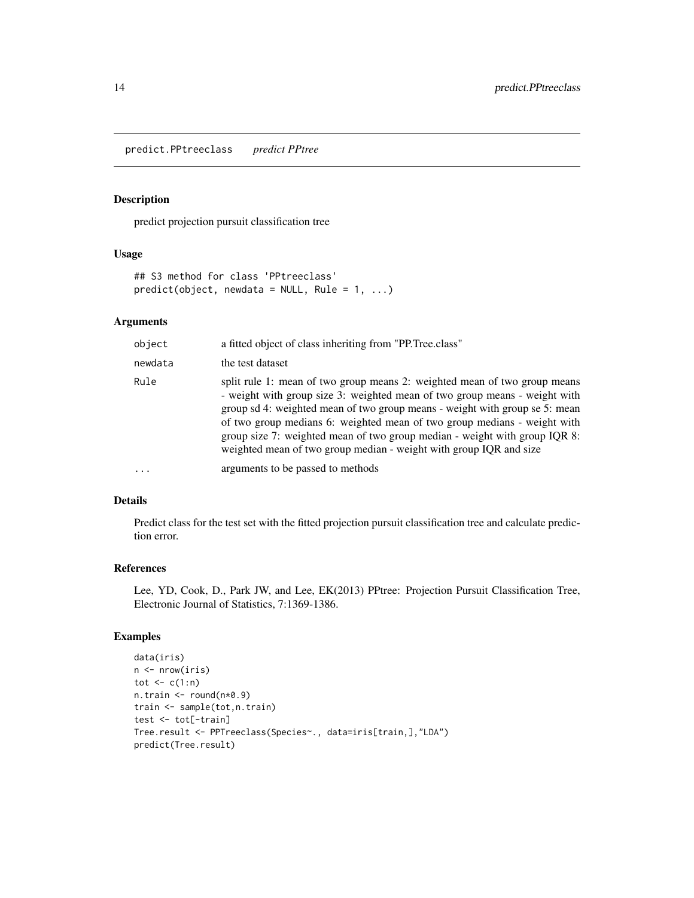<span id="page-13-0"></span>predict.PPtreeclass *predict PPtree*

# Description

predict projection pursuit classification tree

#### Usage

```
## S3 method for class 'PPtreeclass'
predict(object, new data = NULL, Rule = 1, ...)
```
# Arguments

| object  | a fitted object of class inheriting from "PP. Tree.class"                                                                                                                                                                                                                                                                                                                                                                                                              |
|---------|------------------------------------------------------------------------------------------------------------------------------------------------------------------------------------------------------------------------------------------------------------------------------------------------------------------------------------------------------------------------------------------------------------------------------------------------------------------------|
| newdata | the test dataset                                                                                                                                                                                                                                                                                                                                                                                                                                                       |
| Rule    | split rule 1: mean of two group means 2: weighted mean of two group means<br>- weight with group size 3: weighted mean of two group means - weight with<br>group sd 4: weighted mean of two group means - weight with group se 5: mean<br>of two group medians 6: weighted mean of two group medians - weight with<br>group size 7: weighted mean of two group median - weight with group IQR 8:<br>weighted mean of two group median - weight with group IQR and size |
|         | arguments to be passed to methods                                                                                                                                                                                                                                                                                                                                                                                                                                      |

### Details

Predict class for the test set with the fitted projection pursuit classification tree and calculate prediction error.

### References

Lee, YD, Cook, D., Park JW, and Lee, EK(2013) PPtree: Projection Pursuit Classification Tree, Electronic Journal of Statistics, 7:1369-1386.

```
data(iris)
n \leftarrow \text{nrow}(iris)tot \leq c(1:n)n.train <- round(n*0.9)
train <- sample(tot,n.train)
test <- tot[-train]
Tree.result <- PPTreeclass(Species~., data=iris[train,],"LDA")
predict(Tree.result)
```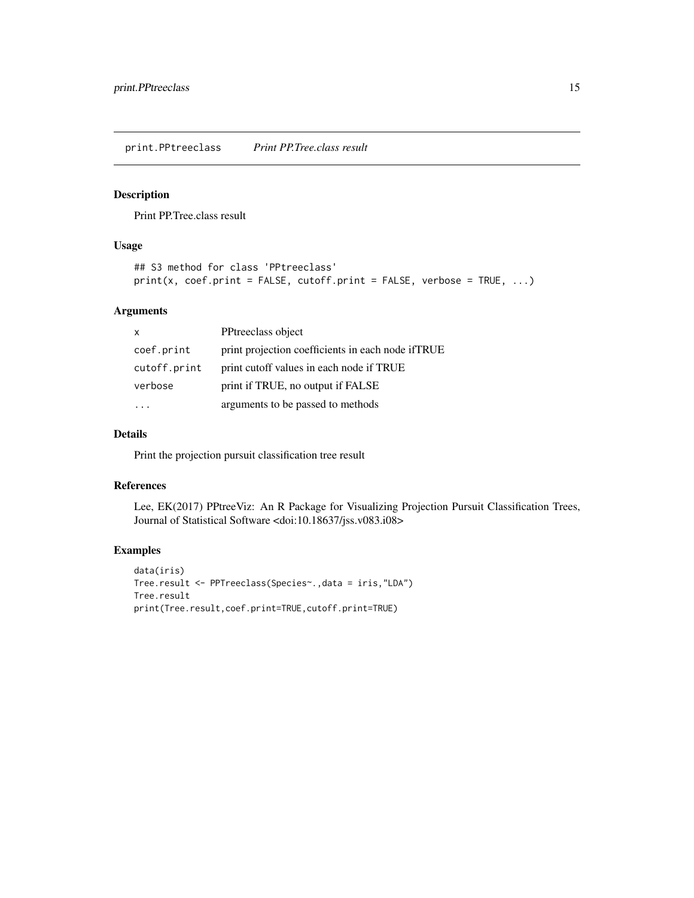<span id="page-14-0"></span>print.PPtreeclass *Print PP.Tree.class result*

# Description

Print PP.Tree.class result

#### Usage

```
## S3 method for class 'PPtreeclass'
print(x, coef.print = FALSE, cutoff.print = FALSE, verbose = TRUE, ...)
```
# Arguments

| $\boldsymbol{\mathsf{x}}$ | PPtreeclass object                                 |
|---------------------------|----------------------------------------------------|
| coef.print                | print projection coefficients in each node if TRUE |
| cutoff.print              | print cutoff values in each node if TRUE           |
| verbose                   | print if TRUE, no output if FALSE                  |
|                           | arguments to be passed to methods                  |

#### Details

Print the projection pursuit classification tree result

#### References

Lee, EK(2017) PPtreeViz: An R Package for Visualizing Projection Pursuit Classification Trees, Journal of Statistical Software <doi:10.18637/jss.v083.i08>

```
data(iris)
Tree.result <- PPTreeclass(Species~.,data = iris,"LDA")
Tree.result
print(Tree.result,coef.print=TRUE,cutoff.print=TRUE)
```